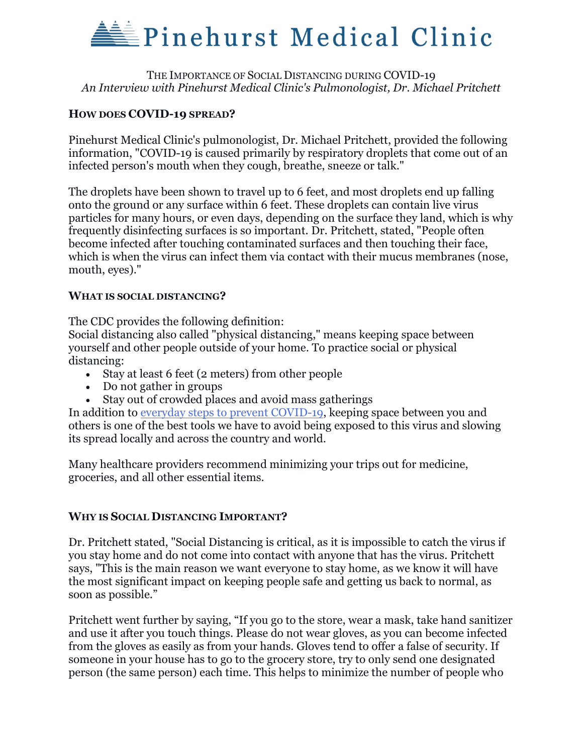## **Pinehurst Medical Clinic**

### THE IMPORTANCE OF SOCIAL DISTANCING DURING COVID-19 *An Interview with Pinehurst Medical Clinic's Pulmonologist, Dr. Michael Pritchett*

## **HOW DOES COVID-19 SPREAD?**

Pinehurst Medical Clinic's pulmonologist, Dr. Michael Pritchett, provided the following information, "COVID-19 is caused primarily by respiratory droplets that come out of an infected person's mouth when they cough, breathe, sneeze or talk."

The droplets have been shown to travel up to 6 feet, and most droplets end up falling onto the ground or any surface within 6 feet. These droplets can contain live virus particles for many hours, or even days, depending on the surface they land, which is why frequently disinfecting surfaces is so important. Dr. Pritchett, stated, "People often become infected after touching contaminated surfaces and then touching their face, which is when the virus can infect them via contact with their mucus membranes (nose, mouth, eyes)."

### **WHAT IS SOCIAL DISTANCING?**

The CDC provides the following definition:

Social distancing also called "physical distancing," means keeping space between yourself and other people outside of your home. To practice social or physical distancing:

- Stay at least 6 feet (2 meters) from other people
- Do not gather in groups
- Stay out of crowded places and avoid mass gatherings

In addition to [everyday steps to prevent COVID-19,](https://www.cdc.gov/coronavirus/2019-ncov/prevent-getting-sick/prevention.html) keeping space between you and others is one of the best tools we have to avoid being exposed to this virus and slowing its spread locally and across the country and world.

Many healthcare providers recommend minimizing your trips out for medicine, groceries, and all other essential items.

## **WHY IS SOCIAL DISTANCING IMPORTANT?**

Dr. Pritchett stated, "Social Distancing is critical, as it is impossible to catch the virus if you stay home and do not come into contact with anyone that has the virus. Pritchett says, "This is the main reason we want everyone to stay home, as we know it will have the most significant impact on keeping people safe and getting us back to normal, as soon as possible."

Pritchett went further by saying, "If you go to the store, wear a mask, take hand sanitizer and use it after you touch things. Please do not wear gloves, as you can become infected from the gloves as easily as from your hands. Gloves tend to offer a false of security. If someone in your house has to go to the grocery store, try to only send one designated person (the same person) each time. This helps to minimize the number of people who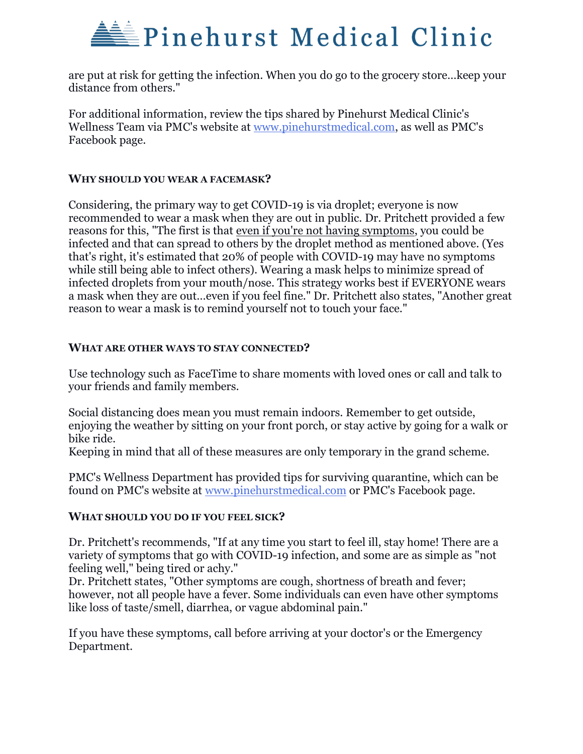# **Pinehurst Medical Clinic**

are put at risk for getting the infection. When you do go to the grocery store…keep your distance from others."

For additional information, review the tips shared by Pinehurst Medical Clinic's Wellness Team via PMC's website at [www.pinehurstmedical.com,](http://www.pinehurstmedical.com/) as well as PMC's Facebook page.

### **WHY SHOULD YOU WEAR A FACEMASK?**

Considering, the primary way to get COVID-19 is via droplet; everyone is now recommended to wear a mask when they are out in public. Dr. Pritchett provided a few reasons for this, "The first is that even if you're not having symptoms, you could be infected and that can spread to others by the droplet method as mentioned above. (Yes that's right, it's estimated that 20% of people with COVID-19 may have no symptoms while still being able to infect others). Wearing a mask helps to minimize spread of infected droplets from your mouth/nose. This strategy works best if EVERYONE wears a mask when they are out…even if you feel fine." Dr. Pritchett also states, "Another great reason to wear a mask is to remind yourself not to touch your face."

### **WHAT ARE OTHER WAYS TO STAY CONNECTED?**

Use technology such as FaceTime to share moments with loved ones or call and talk to your friends and family members.

Social distancing does mean you must remain indoors. Remember to get outside, enjoying the weather by sitting on your front porch, or stay active by going for a walk or bike ride.

Keeping in mind that all of these measures are only temporary in the grand scheme.

PMC's Wellness Department has provided tips for surviving quarantine, which can be found on PMC's website at [www.pinehurstmedical.com](http://www.pinehurstmedical.com/) or PMC's Facebook page.

#### **WHAT SHOULD YOU DO IF YOU FEEL SICK?**

Dr. Pritchett's recommends, "If at any time you start to feel ill, stay home! There are a variety of symptoms that go with COVID-19 infection, and some are as simple as "not feeling well," being tired or achy."

Dr. Pritchett states, "Other symptoms are cough, shortness of breath and fever; however, not all people have a fever. Some individuals can even have other symptoms like loss of taste/smell, diarrhea, or vague abdominal pain."

If you have these symptoms, call before arriving at your doctor's or the Emergency Department.